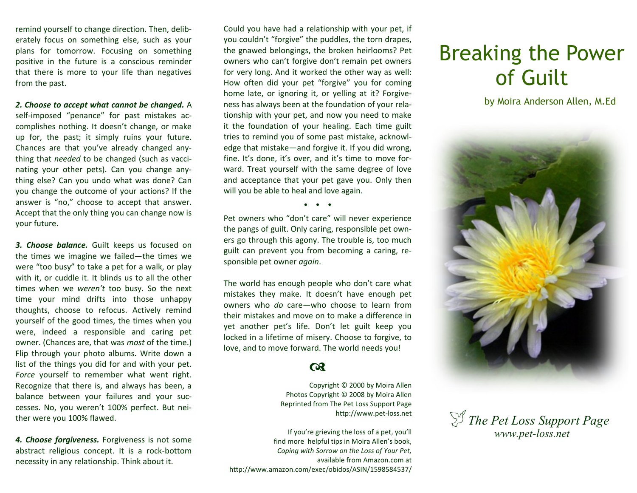remind yourself to change direction. Then, deliberately focus on something else, such as your plans for tomorrow. Focusing on something positive in the future is a conscious reminder that there is more to your life than negatives from the past.

*2. Choose to accept what cannot be changed.* A self-imposed "penance" for past mistakes accomplishes nothing. It doesn't change, or make up for, the past; it simply ruins your future. Chances are that you've already changed anything that *needed* to be changed (such as vaccinating your other pets). Can you change anything else? Can you undo what was done? Can you change the outcome of your actions? If the answer is "no," choose to accept that answer. Accept that the only thing you can change now is your future.

*3. Choose balance.* Guilt keeps us focused on the times we imagine we failed—the times we were "too busy" to take a pet for a walk, or play with it, or cuddle it. It blinds us to all the other times when we *weren't* too busy. So the next time your mind drifts into those unhappy thoughts, choose to refocus. Actively remind yourself of the good times, the times when you were, indeed a responsible and caring pet owner. (Chances are, that was *most* of the time.) Flip through your photo albums. Write down a list of the things you did for and with your pet. *Force* yourself to remember what went right. Recognize that there is, and always has been, a balance between your failures and your successes. No, you weren't 100% perfect. But neither were you 100% flawed.

*4. Choose forgiveness.* Forgiveness is not some abstract religious concept. It is a rock-bottom necessity in any relationship. Think about it.

Could you have had a relationship with your pet, if you couldn't "forgive" the puddles, the torn drapes, the gnawed belongings, the broken heirlooms? Pet owners who can't forgive don't remain pet owners for very long. And it worked the other way as well: How often did your pet "forgive" you for coming home late, or ignoring it, or yelling at it? Forgiveness has always been at the foundation of your relationship with your pet, and now you need to make it the foundation of your healing. Each time guilt tries to remind you of some past mistake, acknowledge that mistake—and forgive it. If you did wrong, fine. It's done, it's over, and it's time to move forward. Treat yourself with the same degree of love and acceptance that your pet gave you. Only then will you be able to heal and love again.

 $\bullet$   $\bullet$   $\bullet$ 

Pet owners who "don't care" will never experience the pangs of guilt. Only caring, responsible pet owners go through this agony. The trouble is, too much guilt can prevent you from becoming a caring, responsible pet owner *again*.

The world has enough people who don't care what mistakes they make. It doesn't have enough pet owners who *do* care—who choose to learn from their mistakes and move on to make a difference in yet another pet's life. Don't let guilt keep you locked in a lifetime of misery. Choose to forgive, to love, and to move forward. The world needs you!

### $\boldsymbol{\alpha}$

Copyright © 2000 by Moira Allen Photos Copyright © 2008 by Moira Allen Reprinted from The Pet Loss Support Page http://www.pet-loss.net

If you're grieving the loss of a pet, you'll find more helpful tips in Moira Allen's book, *Coping with Sorrow on the Loss of Your Pet,*  available from Amazon.com at http://www.amazon.com/exec/obidos/ASIN/1598584537/

# Breaking the Power of Guilt

by Moira Anderson Allen, M.Ed